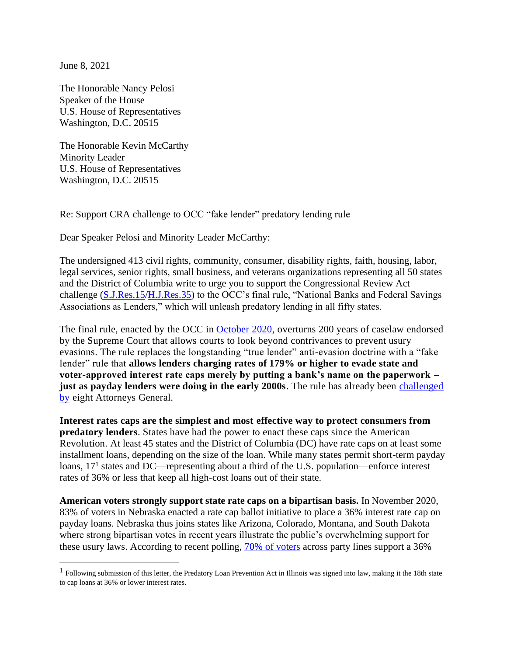June 8, 2021

The Honorable Nancy Pelosi Speaker of the House U.S. House of Representatives Washington, D.C. 20515

The Honorable Kevin McCarthy Minority Leader U.S. House of Representatives Washington, D.C. 20515

Re: Support CRA challenge to OCC "fake lender" predatory lending rule

Dear Speaker Pelosi and Minority Leader McCarthy:

The undersigned 413 civil rights, community, consumer, disability rights, faith, housing, labor, legal services, senior rights, small business, and veterans organizations representing all 50 states and the District of Columbia write to urge you to support the Congressional Review Act challenge [\(S.J.Res.15/](https://www.congress.gov/bill/117th-congress/senate-joint-resolution/15)[H.J.Res.35\)](https://www.congress.gov/bill/117th-congress/house-joint-resolution/35?s=1&r=2) to the OCC's final rule, "National Banks and Federal Savings Associations as Lenders," which will unleash predatory lending in all fifty states.

The final rule, enacted by the OCC in [October 2020,](https://www.occ.gov/news-issuances/news-releases/2020/nr-occ-2020-139.html) overturns 200 years of caselaw endorsed by the Supreme Court that allows courts to look beyond contrivances to prevent usury evasions. The rule replaces the longstanding "true lender" anti-evasion doctrine with a "fake lender" rule that **allows lenders charging rates of 179% or higher to evade state and voter-approved interest rate caps merely by putting a bank's name on the paperwork – just as payday lenders were doing in the early 2000s.** The rule has already been challenged [by](https://ag.ny.gov/sites/default/files/01.05.21_complaint_doc._no._1.pdf) eight Attorneys General.

**Interest rates caps are the simplest and most effective way to protect consumers from predatory lenders**. States have had the power to enact these caps since the American Revolution. At least 45 states and the District of Columbia (DC) have rate caps on at least some installment loans, depending on the size of the loan. While many states permit short-term payday loans, 17<sup>1</sup> states and DC—representing about a third of the U.S. population—enforce interest rates of 36% or less that keep all high-cost loans out of their state.

**American voters strongly support state rate caps on a bipartisan basis.** In November 2020, 83% of voters in Nebraska enacted a rate cap ballot initiative to place a 36% interest rate cap on payday loans. Nebraska thus joins states like Arizona, Colorado, Montana, and South Dakota where strong bipartisan votes in recent years illustrate the public's overwhelming support for these usury laws. According to recent polling, [70% of voters](https://www.responsiblelending.org/research-publication/new-poll-bipartisan-support-stopping-predatory-high-interest-loans) across party lines support a 36%

<sup>&</sup>lt;sup>1</sup> Following submission of this letter, the Predatory Loan Prevention Act in Illinois was signed into law, making it the 18th state to cap loans at 36% or lower interest rates.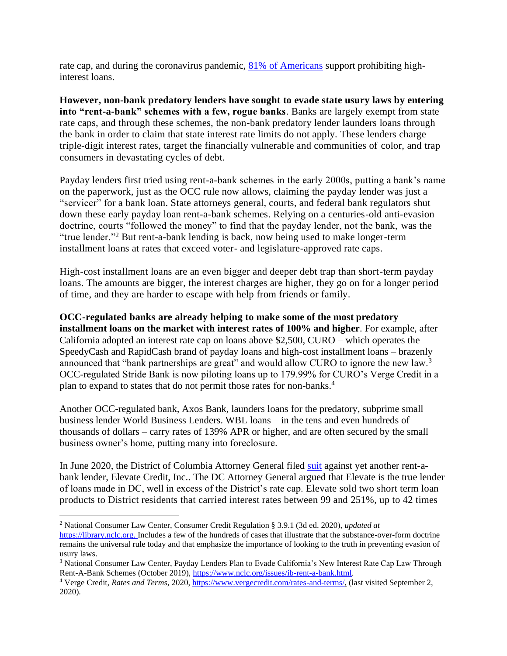rate cap, and during the coronavirus pandemic, [81% of Americans](https://www.responsiblelending.org/sites/default/files/nodes/files/research-publication/poll-crl-afr-highinterest-coronavirus-may2020.pdf) support prohibiting highinterest loans.

**However, non-bank predatory lenders have sought to evade state usury laws by entering into "rent-a-bank" schemes with a few, rogue banks**. Banks are largely exempt from state rate caps, and through these schemes, the non-bank predatory lender launders loans through the bank in order to claim that state interest rate limits do not apply. These lenders charge triple-digit interest rates, target the financially vulnerable and communities of color, and trap consumers in devastating cycles of debt.

Payday lenders first tried using rent-a-bank schemes in the early 2000s, putting a bank's name on the paperwork, just as the OCC rule now allows, claiming the payday lender was just a "servicer" for a bank loan. State attorneys general, courts, and federal bank regulators shut down these early payday loan rent-a-bank schemes. Relying on a centuries-old anti-evasion doctrine, courts "followed the money" to find that the payday lender, not the bank, was the "true lender."<sup>2</sup> But rent-a-bank lending is back, now being used to make longer-term installment loans at rates that exceed voter- and legislature-approved rate caps.

High-cost installment loans are an even bigger and deeper debt trap than short-term payday loans. The amounts are bigger, the interest charges are higher, they go on for a longer period of time, and they are harder to escape with help from friends or family.

**OCC-regulated banks are already helping to make some of the most predatory installment loans on the market with interest rates of 100% and higher**. For example, after California adopted an interest rate cap on loans above \$2,500, CURO – which operates the SpeedyCash and RapidCash brand of payday loans and high-cost installment loans – brazenly announced that "bank partnerships are great" and would allow CURO to ignore the new law.<sup>3</sup> OCC-regulated Stride Bank is now piloting loans up to 179.99% for CURO's Verge Credit in a plan to expand to states that do not permit those rates for non-banks.<sup>4</sup>

Another OCC-regulated bank, Axos Bank, launders loans for the predatory, subprime small business lender World Business Lenders. WBL loans – in the tens and even hundreds of thousands of dollars – carry rates of 139% APR or higher, and are often secured by the small business owner's home, putting many into foreclosure.

In June 2020, the District of Columbia Attorney General filed [suit](https://oag.dc.gov/release/ag-racine-sues-predatory-online-lender-illegal) against yet another rent-abank lender, Elevate Credit, Inc.. The DC Attorney General argued that Elevate is the true lender of loans made in DC, well in excess of the District's rate cap. Elevate sold two short term loan products to District residents that carried interest rates between 99 and 251%, up to 42 times

<sup>2</sup> National Consumer Law Center, Consumer Credit Regulation § 3.9.1 (3d ed. 2020), *updated at*

[https://library.nclc.org.](https://library.nclc.org/) Includes a few of the hundreds of cases that illustrate that the substance-over-form doctrine remains the universal rule today and that emphasize the importance of looking to the truth in preventing evasion of usury laws.

<sup>&</sup>lt;sup>3</sup> National Consumer Law Center, Payday Lenders Plan to Evade California's New Interest Rate Cap Law Through Rent-A-Bank Schemes (October 2019), [https://www.nclc.org/issues/ib-rent-a-bank.html.](https://www.nclc.org/issues/ib-rent-a-bank.html)

<sup>&</sup>lt;sup>4</sup> Verge Credit, *Rates and Terms*, 2020, [https://www.vergecredit.com/rates-and-terms/,](https://www.vergecredit.com/rates-and-terms/) (last visited September 2, 2020).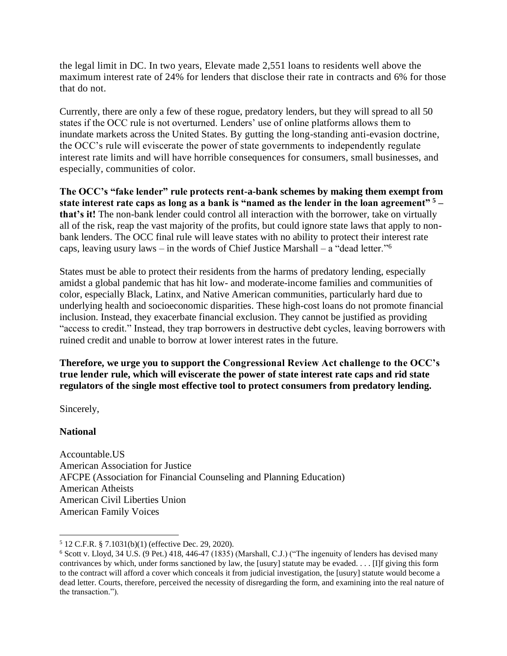the legal limit in DC. In two years, Elevate made 2,551 loans to residents well above the maximum interest rate of 24% for lenders that disclose their rate in contracts and 6% for those that do not.

Currently, there are only a few of these rogue, predatory lenders, but they will spread to all 50 states if the OCC rule is not overturned. Lenders' use of online platforms allows them to inundate markets across the United States. By gutting the long-standing anti-evasion doctrine, the OCC's rule will eviscerate the power of state governments to independently regulate interest rate limits and will have horrible consequences for consumers, small businesses, and especially, communities of color.

**The OCC's "fake lender" rule protects rent-a-bank schemes by making them exempt from state interest rate caps as long as a bank is "named as the lender in the loan agreement" <sup>5</sup> – that's it!** The non-bank lender could control all interaction with the borrower, take on virtually all of the risk, reap the vast majority of the profits, but could ignore state laws that apply to nonbank lenders. The OCC final rule will leave states with no ability to protect their interest rate caps, leaving usury laws – in the words of Chief Justice Marshall – a "dead letter."<sup>6</sup>

States must be able to protect their residents from the harms of predatory lending, especially amidst a global pandemic that has hit low- and moderate-income families and communities of color, especially Black, Latinx, and Native American communities, particularly hard due to underlying health and socioeconomic disparities. These high-cost loans do not promote financial inclusion. Instead, they exacerbate financial exclusion. They cannot be justified as providing "access to credit." Instead, they trap borrowers in destructive debt cycles, leaving borrowers with ruined credit and unable to borrow at lower interest rates in the future.

**Therefore, we urge you to support the Congressional Review Act challenge to the OCC's true lender rule, which will eviscerate the power of state interest rate caps and rid state regulators of the single most effective tool to protect consumers from predatory lending.** 

Sincerely,

# **National**

Accountable.US American Association for Justice AFCPE (Association for Financial Counseling and Planning Education) American Atheists American Civil Liberties Union American Family Voices

<sup>5</sup> 12 C.F.R. § 7.1031(b)(1) (effective Dec. 29, 2020).

<sup>6</sup> Scott v. Lloyd, 34 U.S. (9 Pet.) 418, 446-47 (1835) (Marshall, C.J.) ("The ingenuity of lenders has devised many contrivances by which, under forms sanctioned by law, the [usury] statute may be evaded. . . . [I]f giving this form to the contract will afford a cover which conceals it from judicial investigation, the [usury] statute would become a dead letter. Courts, therefore, perceived the necessity of disregarding the form, and examining into the real nature of the transaction.").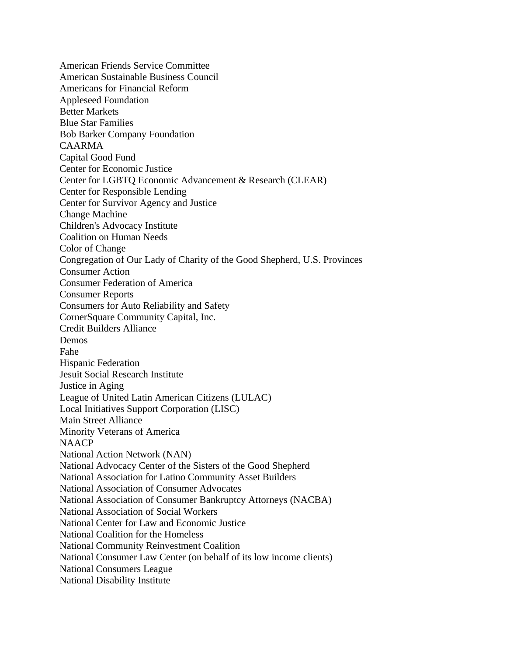American Friends Service Committee American Sustainable Business Council Americans for Financial Reform Appleseed Foundation Better Markets Blue Star Families Bob Barker Company Foundation CAARMA Capital Good Fund Center for Economic Justice Center for LGBTQ Economic Advancement & Research (CLEAR) Center for Responsible Lending Center for Survivor Agency and Justice Change Machine Children's Advocacy Institute Coalition on Human Needs Color of Change Congregation of Our Lady of Charity of the Good Shepherd, U.S. Provinces Consumer Action Consumer Federation of America Consumer Reports Consumers for Auto Reliability and Safety CornerSquare Community Capital, Inc. Credit Builders Alliance Demos Fahe Hispanic Federation Jesuit Social Research Institute Justice in Aging League of United Latin American Citizens (LULAC) Local Initiatives Support Corporation (LISC) Main Street Alliance Minority Veterans of America **NAACP** National Action Network (NAN) National Advocacy Center of the Sisters of the Good Shepherd National Association for Latino Community Asset Builders National Association of Consumer Advocates National Association of Consumer Bankruptcy Attorneys (NACBA) National Association of Social Workers National Center for Law and Economic Justice National Coalition for the Homeless National Community Reinvestment Coalition National Consumer Law Center (on behalf of its low income clients) National Consumers League National Disability Institute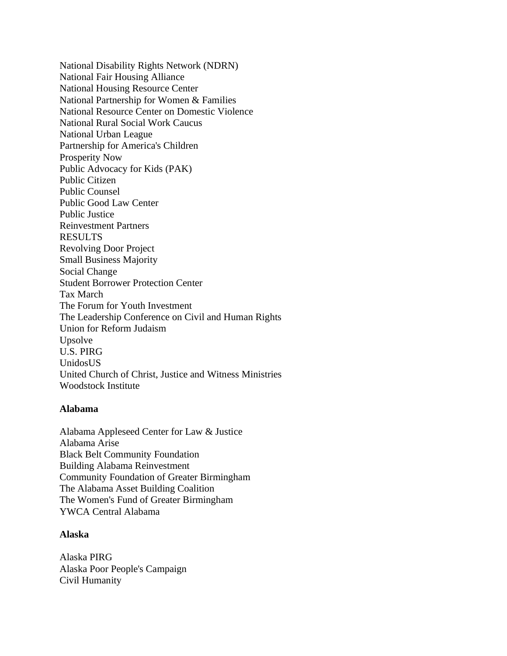National Disability Rights Network (NDRN) National Fair Housing Alliance National Housing Resource Center National Partnership for Women & Families National Resource Center on Domestic Violence National Rural Social Work Caucus National Urban League Partnership for America's Children Prosperity Now Public Advocacy for Kids (PAK) Public Citizen Public Counsel Public Good Law Center Public Justice Reinvestment Partners RESULTS Revolving Door Project Small Business Majority Social Change Student Borrower Protection Center Tax March The Forum for Youth Investment The Leadership Conference on Civil and Human Rights Union for Reform Judaism Upsolve U.S. PIRG UnidosUS United Church of Christ, Justice and Witness Ministries Woodstock Institute

### **Alabama**

Alabama Appleseed Center for Law & Justice Alabama Arise Black Belt Community Foundation Building Alabama Reinvestment Community Foundation of Greater Birmingham The Alabama Asset Building Coalition The Women's Fund of Greater Birmingham YWCA Central Alabama

# **Alaska**

Alaska PIRG Alaska Poor People's Campaign Civil Humanity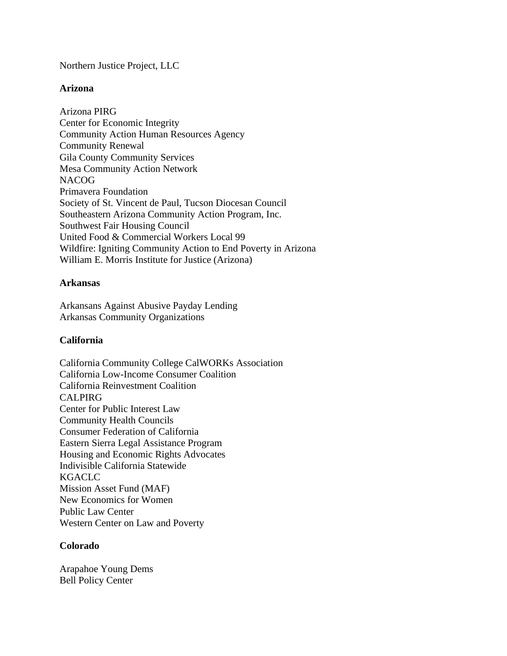Northern Justice Project, LLC

### **Arizona**

Arizona PIRG Center for Economic Integrity Community Action Human Resources Agency Community Renewal Gila County Community Services Mesa Community Action Network **NACOG** Primavera Foundation Society of St. Vincent de Paul, Tucson Diocesan Council Southeastern Arizona Community Action Program, Inc. Southwest Fair Housing Council United Food & Commercial Workers Local 99 Wildfire: Igniting Community Action to End Poverty in Arizona William E. Morris Institute for Justice (Arizona)

### **Arkansas**

Arkansans Against Abusive Payday Lending Arkansas Community Organizations

# **California**

California Community College CalWORKs Association California Low-Income Consumer Coalition California Reinvestment Coalition CALPIRG Center for Public Interest Law Community Health Councils Consumer Federation of California Eastern Sierra Legal Assistance Program Housing and Economic Rights Advocates Indivisible California Statewide KGACLC Mission Asset Fund (MAF) New Economics for Women Public Law Center Western Center on Law and Poverty

### **Colorado**

Arapahoe Young Dems Bell Policy Center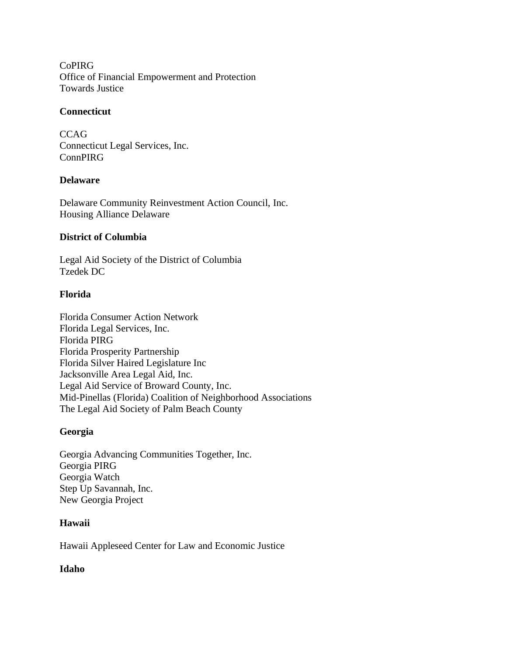CoPIRG Office of Financial Empowerment and Protection Towards Justice

### **Connecticut**

**CCAG** Connecticut Legal Services, Inc. ConnPIRG

# **Delaware**

Delaware Community Reinvestment Action Council, Inc. Housing Alliance Delaware

### **District of Columbia**

Legal Aid Society of the District of Columbia Tzedek DC

### **Florida**

Florida Consumer Action Network Florida Legal Services, Inc. Florida PIRG Florida Prosperity Partnership Florida Silver Haired Legislature Inc Jacksonville Area Legal Aid, Inc. Legal Aid Service of Broward County, Inc. Mid-Pinellas (Florida) Coalition of Neighborhood Associations The Legal Aid Society of Palm Beach County

# **Georgia**

Georgia Advancing Communities Together, Inc. Georgia PIRG Georgia Watch Step Up Savannah, Inc. New Georgia Project

### **Hawaii**

Hawaii Appleseed Center for Law and Economic Justice

# **Idaho**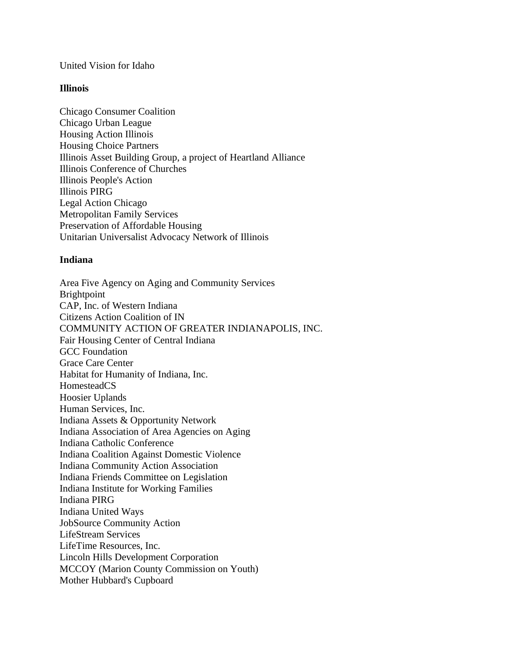#### United Vision for Idaho

#### **Illinois**

Chicago Consumer Coalition Chicago Urban League Housing Action Illinois Housing Choice Partners Illinois Asset Building Group, a project of Heartland Alliance Illinois Conference of Churches Illinois People's Action Illinois PIRG Legal Action Chicago Metropolitan Family Services Preservation of Affordable Housing Unitarian Universalist Advocacy Network of Illinois

#### **Indiana**

Area Five Agency on Aging and Community Services Brightpoint CAP, Inc. of Western Indiana Citizens Action Coalition of IN COMMUNITY ACTION OF GREATER INDIANAPOLIS, INC. Fair Housing Center of Central Indiana GCC Foundation Grace Care Center Habitat for Humanity of Indiana, Inc. HomesteadCS Hoosier Uplands Human Services, Inc. Indiana Assets & Opportunity Network Indiana Association of Area Agencies on Aging Indiana Catholic Conference Indiana Coalition Against Domestic Violence Indiana Community Action Association Indiana Friends Committee on Legislation Indiana Institute for Working Families Indiana PIRG Indiana United Ways JobSource Community Action LifeStream Services LifeTime Resources, Inc. Lincoln Hills Development Corporation MCCOY (Marion County Commission on Youth) Mother Hubbard's Cupboard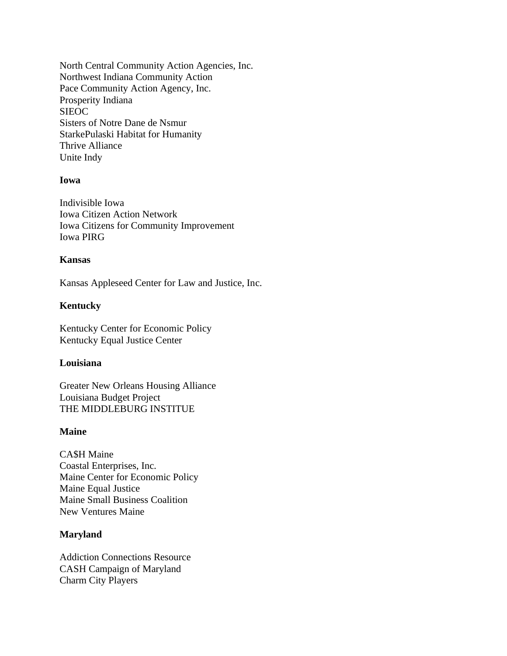North Central Community Action Agencies, Inc. Northwest Indiana Community Action Pace Community Action Agency, Inc. Prosperity Indiana **SIEOC** Sisters of Notre Dane de Nsmur StarkePulaski Habitat for Humanity Thrive Alliance Unite Indy

#### **Iowa**

Indivisible Iowa Iowa Citizen Action Network Iowa Citizens for Community Improvement Iowa PIRG

#### **Kansas**

Kansas Appleseed Center for Law and Justice, Inc.

### **Kentucky**

Kentucky Center for Economic Policy Kentucky Equal Justice Center

#### **Louisiana**

Greater New Orleans Housing Alliance Louisiana Budget Project THE MIDDLEBURG INSTITUE

#### **Maine**

CA\$H Maine Coastal Enterprises, Inc. Maine Center for Economic Policy Maine Equal Justice Maine Small Business Coalition New Ventures Maine

#### **Maryland**

Addiction Connections Resource CASH Campaign of Maryland Charm City Players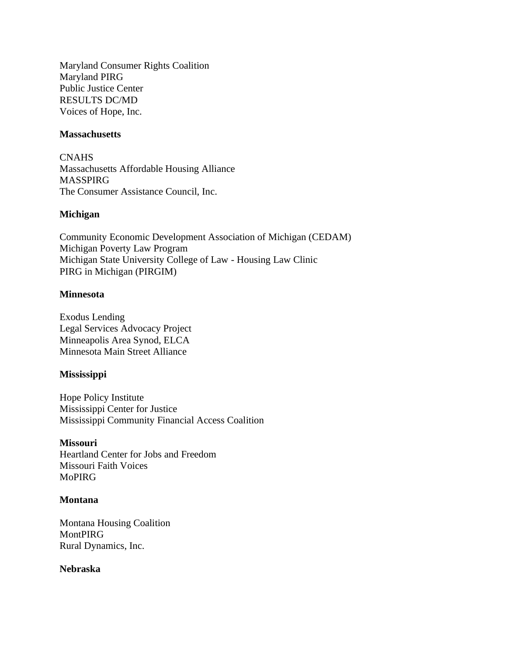Maryland Consumer Rights Coalition Maryland PIRG Public Justice Center RESULTS DC/MD Voices of Hope, Inc.

### **Massachusetts**

**CNAHS** Massachusetts Affordable Housing Alliance MASSPIRG The Consumer Assistance Council, Inc.

### **Michigan**

Community Economic Development Association of Michigan (CEDAM) Michigan Poverty Law Program Michigan State University College of Law - Housing Law Clinic PIRG in Michigan (PIRGIM)

### **Minnesota**

Exodus Lending Legal Services Advocacy Project Minneapolis Area Synod, ELCA Minnesota Main Street Alliance

### **Mississippi**

Hope Policy Institute Mississippi Center for Justice Mississippi Community Financial Access Coalition

#### **Missouri**

Heartland Center for Jobs and Freedom Missouri Faith Voices MoPIRG

#### **Montana**

Montana Housing Coalition MontPIRG Rural Dynamics, Inc.

#### **Nebraska**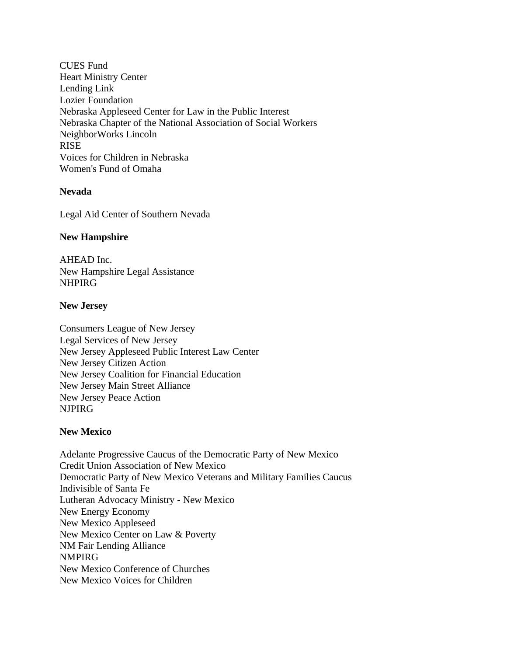CUES Fund Heart Ministry Center Lending Link Lozier Foundation Nebraska Appleseed Center for Law in the Public Interest Nebraska Chapter of the National Association of Social Workers NeighborWorks Lincoln RISE Voices for Children in Nebraska Women's Fund of Omaha

### **Nevada**

Legal Aid Center of Southern Nevada

#### **New Hampshire**

AHEAD Inc. New Hampshire Legal Assistance NHPIRG

#### **New Jersey**

Consumers League of New Jersey Legal Services of New Jersey New Jersey Appleseed Public Interest Law Center New Jersey Citizen Action New Jersey Coalition for Financial Education New Jersey Main Street Alliance New Jersey Peace Action NJPIRG

### **New Mexico**

Adelante Progressive Caucus of the Democratic Party of New Mexico Credit Union Association of New Mexico Democratic Party of New Mexico Veterans and Military Families Caucus Indivisible of Santa Fe Lutheran Advocacy Ministry - New Mexico New Energy Economy New Mexico Appleseed New Mexico Center on Law & Poverty NM Fair Lending Alliance NMPIRG New Mexico Conference of Churches New Mexico Voices for Children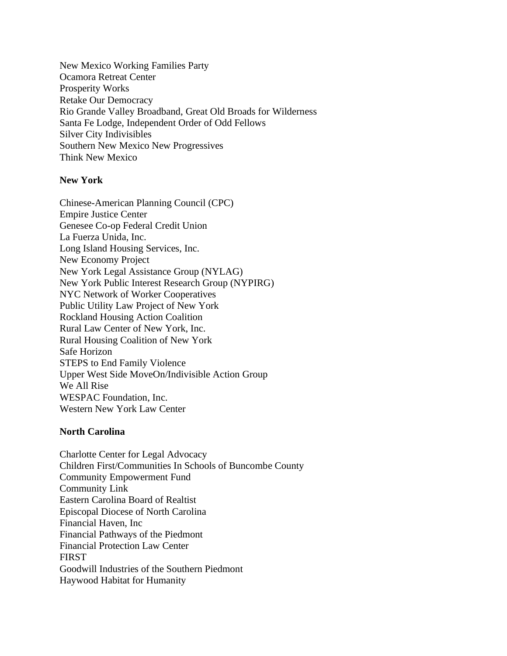New Mexico Working Families Party Ocamora Retreat Center Prosperity Works Retake Our Democracy Rio Grande Valley Broadband, Great Old Broads for Wilderness Santa Fe Lodge, Independent Order of Odd Fellows Silver City Indivisibles Southern New Mexico New Progressives Think New Mexico

### **New York**

Chinese-American Planning Council (CPC) Empire Justice Center Genesee Co-op Federal Credit Union La Fuerza Unida, Inc. Long Island Housing Services, Inc. New Economy Project New York Legal Assistance Group (NYLAG) New York Public Interest Research Group (NYPIRG) NYC Network of Worker Cooperatives Public Utility Law Project of New York Rockland Housing Action Coalition Rural Law Center of New York, Inc. Rural Housing Coalition of New York Safe Horizon STEPS to End Family Violence Upper West Side MoveOn/Indivisible Action Group We All Rise WESPAC Foundation, Inc. Western New York Law Center

### **North Carolina**

Charlotte Center for Legal Advocacy Children First/Communities In Schools of Buncombe County Community Empowerment Fund Community Link Eastern Carolina Board of Realtist Episcopal Diocese of North Carolina Financial Haven, Inc Financial Pathways of the Piedmont Financial Protection Law Center **FIRST** Goodwill Industries of the Southern Piedmont Haywood Habitat for Humanity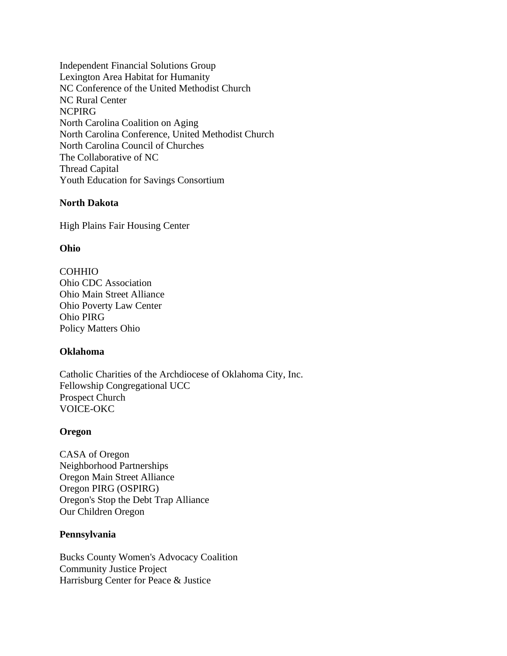Independent Financial Solutions Group Lexington Area Habitat for Humanity NC Conference of the United Methodist Church NC Rural Center NCPIRG North Carolina Coalition on Aging North Carolina Conference, United Methodist Church North Carolina Council of Churches The Collaborative of NC Thread Capital Youth Education for Savings Consortium

# **North Dakota**

High Plains Fair Housing Center

#### **Ohio**

COHHIO Ohio CDC Association Ohio Main Street Alliance Ohio Poverty Law Center Ohio PIRG Policy Matters Ohio

### **Oklahoma**

Catholic Charities of the Archdiocese of Oklahoma City, Inc. Fellowship Congregational UCC Prospect Church VOICE-OKC

#### **Oregon**

CASA of Oregon Neighborhood Partnerships Oregon Main Street Alliance Oregon PIRG (OSPIRG) Oregon's Stop the Debt Trap Alliance Our Children Oregon

### **Pennsylvania**

Bucks County Women's Advocacy Coalition Community Justice Project Harrisburg Center for Peace & Justice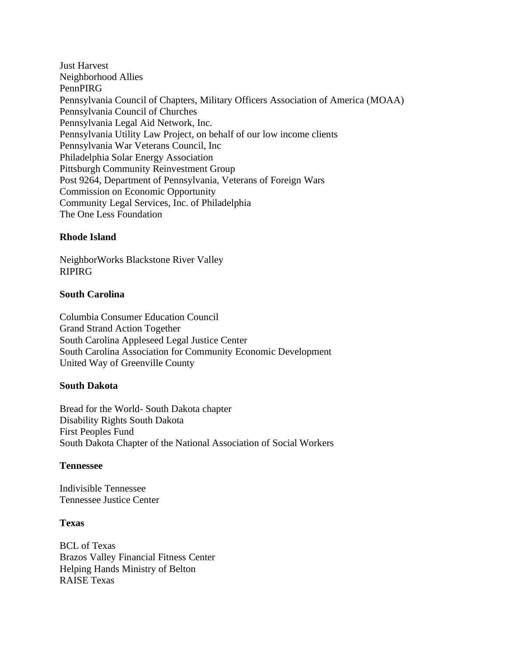Just Harvest Neighborhood Allies PennPIRG Pennsylvania Council of Chapters, Military Officers Association of America (MOAA) Pennsylvania Council of Churches Pennsylvania Legal Aid Network, Inc. Pennsylvania Utility Law Project, on behalf of our low income clients Pennsylvania War Veterans Council, Inc Philadelphia Solar Energy Association Pittsburgh Community Reinvestment Group Post 9264, Department of Pennsylvania, Veterans of Foreign Wars Commission on Economic Opportunity Community Legal Services, Inc. of Philadelphia The One Less Foundation

# **Rhode Island**

NeighborWorks Blackstone River Valley RIPIRG

### **South Carolina**

Columbia Consumer Education Council Grand Strand Action Together South Carolina Appleseed Legal Justice Center South Carolina Association for Community Economic Development United Way of Greenville County

### **South Dakota**

Bread for the World- South Dakota chapter Disability Rights South Dakota First Peoples Fund South Dakota Chapter of the National Association of Social Workers

### **Tennessee**

Indivisible Tennessee Tennessee Justice Center

### **Texas**

BCL of Texas Brazos Valley Financial Fitness Center Helping Hands Ministry of Belton RAISE Texas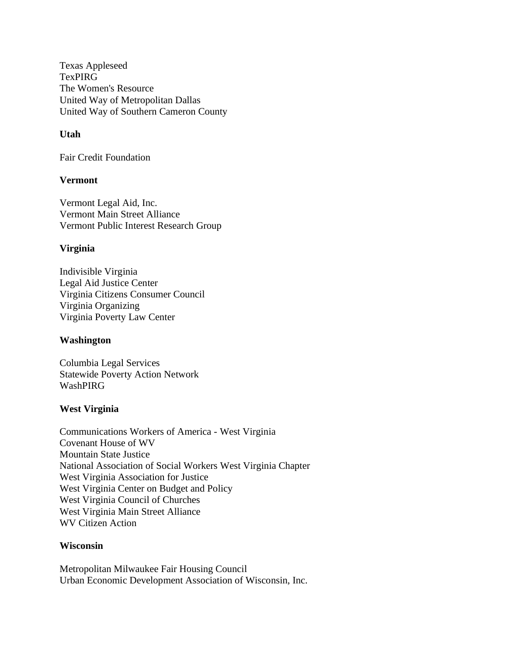Texas Appleseed TexPIRG The Women's Resource United Way of Metropolitan Dallas United Way of Southern Cameron County

# **Utah**

Fair Credit Foundation

### **Vermont**

Vermont Legal Aid, Inc. Vermont Main Street Alliance Vermont Public Interest Research Group

### **Virginia**

Indivisible Virginia Legal Aid Justice Center Virginia Citizens Consumer Council Virginia Organizing Virginia Poverty Law Center

#### **Washington**

Columbia Legal Services Statewide Poverty Action Network WashPIRG

### **West Virginia**

Communications Workers of America - West Virginia Covenant House of WV Mountain State Justice National Association of Social Workers West Virginia Chapter West Virginia Association for Justice West Virginia Center on Budget and Policy West Virginia Council of Churches West Virginia Main Street Alliance WV Citizen Action

#### **Wisconsin**

Metropolitan Milwaukee Fair Housing Council Urban Economic Development Association of Wisconsin, Inc.